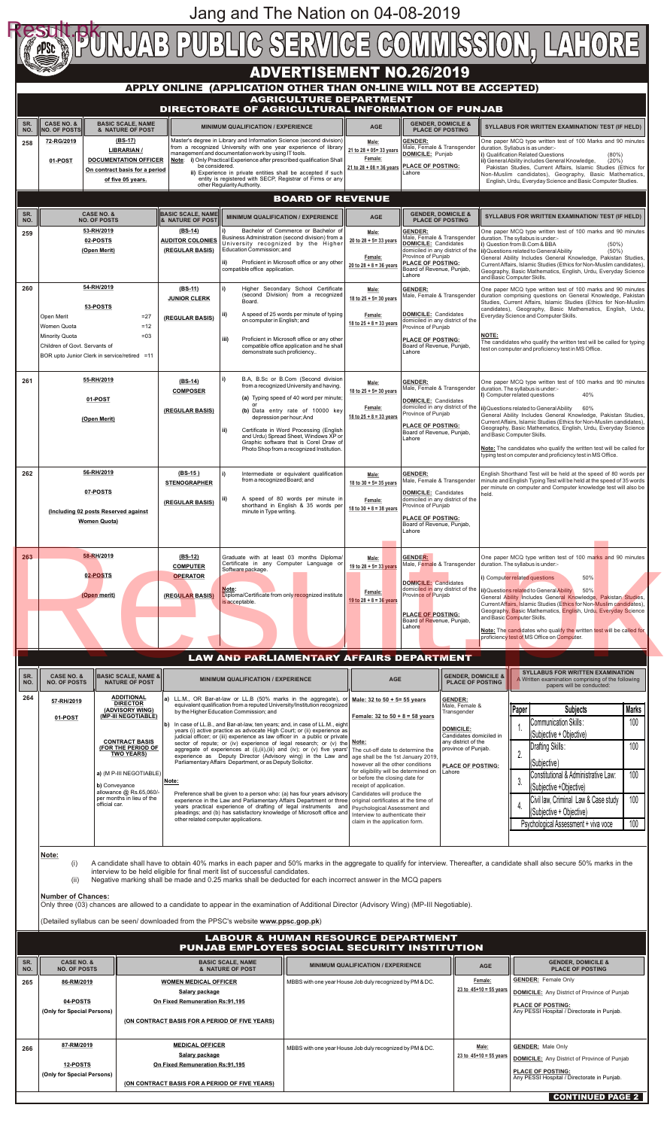|            |                                                                                                                                                                                                                                                                                                  |                                                                                                                                                                                             |                                                                                                                                                                                                                                                         |                                                                                                                                                                                                                                                                                                                                                                                                                                         |                                                                                                                                                                                                                                                                                                                                                                                                                                                     |                                                                                                                                                                                           |                                                                                                                                                                                            |                                                                                                                                                                              | UNUAB PUBLIC SERVICE COMMISSION, LAHORE                                                                                                                                                                                                                                                                                                                                                                                                                                                                                                                                   |  |
|------------|--------------------------------------------------------------------------------------------------------------------------------------------------------------------------------------------------------------------------------------------------------------------------------------------------|---------------------------------------------------------------------------------------------------------------------------------------------------------------------------------------------|---------------------------------------------------------------------------------------------------------------------------------------------------------------------------------------------------------------------------------------------------------|-----------------------------------------------------------------------------------------------------------------------------------------------------------------------------------------------------------------------------------------------------------------------------------------------------------------------------------------------------------------------------------------------------------------------------------------|-----------------------------------------------------------------------------------------------------------------------------------------------------------------------------------------------------------------------------------------------------------------------------------------------------------------------------------------------------------------------------------------------------------------------------------------------------|-------------------------------------------------------------------------------------------------------------------------------------------------------------------------------------------|--------------------------------------------------------------------------------------------------------------------------------------------------------------------------------------------|------------------------------------------------------------------------------------------------------------------------------------------------------------------------------|---------------------------------------------------------------------------------------------------------------------------------------------------------------------------------------------------------------------------------------------------------------------------------------------------------------------------------------------------------------------------------------------------------------------------------------------------------------------------------------------------------------------------------------------------------------------------|--|
|            |                                                                                                                                                                                                                                                                                                  |                                                                                                                                                                                             |                                                                                                                                                                                                                                                         | APPLY ONLINE (APPLICATION OTHER THAN ON-LINE WILL NOT BE ACCEPTED)                                                                                                                                                                                                                                                                                                                                                                      | <b>ADVERTISEMENT NO.26/2019</b>                                                                                                                                                                                                                                                                                                                                                                                                                     |                                                                                                                                                                                           |                                                                                                                                                                                            |                                                                                                                                                                              |                                                                                                                                                                                                                                                                                                                                                                                                                                                                                                                                                                           |  |
|            |                                                                                                                                                                                                                                                                                                  |                                                                                                                                                                                             |                                                                                                                                                                                                                                                         | DIRECTORATE OF AGRICULTURAL INFORMATION OF PUNJAB                                                                                                                                                                                                                                                                                                                                                                                       | <b>AGRICULTURE DEPARTMENT</b>                                                                                                                                                                                                                                                                                                                                                                                                                       |                                                                                                                                                                                           |                                                                                                                                                                                            |                                                                                                                                                                              |                                                                                                                                                                                                                                                                                                                                                                                                                                                                                                                                                                           |  |
| SR.<br>NO. | <b>CASE NO. &amp;</b><br><b>NO. OF POSTS</b>                                                                                                                                                                                                                                                     | <b>BASIC SCALE, NAME</b><br>& NATURE OF POST<br>$(BS-17)$                                                                                                                                   |                                                                                                                                                                                                                                                         | <b>MINIMUM QUALIFICATION / EXPERIENCE</b>                                                                                                                                                                                                                                                                                                                                                                                               |                                                                                                                                                                                                                                                                                                                                                                                                                                                     | <b>AGE</b>                                                                                                                                                                                | <b>GENDER, DOMICILE &amp;</b><br><b>PLACE OF POSTING</b>                                                                                                                                   |                                                                                                                                                                              | <b>SYLLABUS FOR WRITTEN EXAMINATION/ TEST (IF HELD)</b>                                                                                                                                                                                                                                                                                                                                                                                                                                                                                                                   |  |
| 258        | 72-RG/2019<br>01-POST                                                                                                                                                                                                                                                                            | <b>LIBRARIAN /</b><br><b>DOCUMENTATION OFFICER</b><br>On contract basis for a period<br>of five 05 years.                                                                                   | be considered.                                                                                                                                                                                                                                          | Master's degree in Library and Information Science (second division)<br>from a recognized University with one year experience of library<br>management and documentation work by using IT tools.<br>Note: i) Only Practical Experience after prescribed qualification Shall<br>ii) Experience in private entities shall be accepted if such<br>entity is registered with SECP, Registrar of Firms or any<br>other Regularity Authority. |                                                                                                                                                                                                                                                                                                                                                                                                                                                     | Male:<br>21 to $28 + 05 = 33$ years<br>Female:<br>21 to $28 + 08 = 36$ years                                                                                                              | <b>GENDER:</b><br>Male, Female & Transgender<br>DOMICILE: Punjab<br><b>PLACE OF POSTING:</b><br>Lahore                                                                                     |                                                                                                                                                                              | One paper MCQ type written test of 100 Marks and 90 minutes<br>duration. Syllabus is as under:-<br>i) Qualification Related Questions<br>$(80\%)$<br>(20%)<br>ii) General Ability includes General Knowledge,<br>Pakistan Studies, Current Affairs, Islamic Studies (Ethics for<br>Non-Muslim candidates), Geography, Basic Mathematics,<br>English, Urdu, Everyday Science and Basic Computer Studies.                                                                                                                                                                   |  |
| SR.<br>NO. |                                                                                                                                                                                                                                                                                                  | <b>CASE NO. &amp;</b><br><b>NO. OF POSTS</b>                                                                                                                                                | <b>BASIC SCALE, NAME</b><br><b>&amp; NATURE OF POST</b>                                                                                                                                                                                                 | <b>MINIMUM QUALIFICATION / EXPERIENCE</b>                                                                                                                                                                                                                                                                                                                                                                                               | <b>BOARD OF REVENUE</b>                                                                                                                                                                                                                                                                                                                                                                                                                             | <b>AGE</b>                                                                                                                                                                                | <b>GENDER, DOMICILE &amp;</b><br><b>PLACE OF POSTING</b>                                                                                                                                   |                                                                                                                                                                              | SYLLABUS FOR WRITTEN EXAMINATION/ TEST (IF HELD)                                                                                                                                                                                                                                                                                                                                                                                                                                                                                                                          |  |
| 259        | 53-RH/2019<br>02-POSTS<br>(Open Merit)                                                                                                                                                                                                                                                           |                                                                                                                                                                                             | (BS-14)<br>Business Administration (second division) from a<br><b>AUDITOR COLONIES</b><br>University recognized by the Higher<br>(REGULAR BASIS)<br>Education Commission; and<br>ii)<br>compatible office application.                                  |                                                                                                                                                                                                                                                                                                                                                                                                                                         | Bachelor of Commerce or Bachelor of<br>Proficient in Microsoft office or any other                                                                                                                                                                                                                                                                                                                                                                  | Male:<br>20 to $28 + 5 = 33$ years<br>Female:<br>20 to $28 + 8 = 36$ years                                                                                                                | <b>GENDER:</b><br>Male, Female & Transgender<br>DOMICILE: Candidates<br>domiciled in any district of the<br>Province of Punjab<br>PLACE OF POSTING:<br>Board of Revenue, Punjab,<br>Lahore |                                                                                                                                                                              | One paper MCQ type written test of 100 marks and 90 minutes<br>duration. The syllabus is under:-<br>i) Question from B.Com & BBA<br>$(50\%)$<br>ii) Questions related to General Ability<br>$(50\%)$<br>General Ability Includes General Knowledge, Pakistan Studies,<br>Current Affairs, Islamic Studies (Ethics for Non-Muslim candidates),<br>Geography, Basic Mathematics, English, Urdu, Everyday Science                                                                                                                                                            |  |
| 260        |                                                                                                                                                                                                                                                                                                  | 54-RH/2019                                                                                                                                                                                  | (BS-11)<br><b>JUNIOR CLERK</b>                                                                                                                                                                                                                          |                                                                                                                                                                                                                                                                                                                                                                                                                                         | Higher Secondary School Certificate<br>(second Division) from a recognized                                                                                                                                                                                                                                                                                                                                                                          | Male:<br>18 to $25 + 5 = 30$ years                                                                                                                                                        | <b>GENDER:</b><br>Male, Female & Transgender                                                                                                                                               |                                                                                                                                                                              | and Basic Computer Skills.<br>One paper MCQ type written test of 100 marks and 90 minutes<br>duration comprising questions on General Knowledge, Pakistan                                                                                                                                                                                                                                                                                                                                                                                                                 |  |
|            | 53-POSTS<br>Open Merit<br>$= 27$<br>Women Quota<br>$=12$<br>Minority Quota<br>$=03$                                                                                                                                                                                                              |                                                                                                                                                                                             | Board.<br>ii)<br>(REGULAR BASIS)<br>on computer in English; and<br>iii)<br>demonstrate such proficiency                                                                                                                                                 |                                                                                                                                                                                                                                                                                                                                                                                                                                         | A speed of 25 words per minute of typing<br>Proficient in Microsoft office or any other                                                                                                                                                                                                                                                                                                                                                             | Female:<br>18 to $25 + 8 = 33$ years                                                                                                                                                      | DOMICILE: Candidates<br>domiciled in any district of the<br>Province of Punjab<br><b>PLACE OF POSTING:</b>                                                                                 | NOTE:                                                                                                                                                                        | Studies, Current Affairs, Islamic Studies (Ethics for Non-Muslim<br>candidates), Geography, Basic Mathematics, English, Urdu,<br>Everyday Science and Computer Skills.                                                                                                                                                                                                                                                                                                                                                                                                    |  |
|            | Children of Govt. Servants of<br>BOR upto Junior Clerk in service/retired =11                                                                                                                                                                                                                    |                                                                                                                                                                                             |                                                                                                                                                                                                                                                         |                                                                                                                                                                                                                                                                                                                                                                                                                                         | compatible office application and he shall                                                                                                                                                                                                                                                                                                                                                                                                          |                                                                                                                                                                                           | Board of Revenue, Punjab,<br>Lahore                                                                                                                                                        |                                                                                                                                                                              | The candidates who qualify the written test will be called for typing<br>test on computer and proficiency test in MS Office.                                                                                                                                                                                                                                                                                                                                                                                                                                              |  |
| 261        | 55-RH/2019<br>01-POST<br>(Open Merit)                                                                                                                                                                                                                                                            |                                                                                                                                                                                             | (BS-14)<br><b>COMPOSER</b><br>(REGULAR BASIS)                                                                                                                                                                                                           |                                                                                                                                                                                                                                                                                                                                                                                                                                         | B.A, B.Sc or B.Com (Second division<br>Male:<br>from a recognized University and having.<br>18 to $25 + 5 = 30$ years<br>(a) Typing speed of 40 word per minute;<br>Female:<br>(b) Data entry rate of 10000 key<br>18 to $25 + 8 = 33$ years<br>depression per hour; And<br>Certificate in Word Processing (English<br>and Urdu) Spread Sheet, Windows XP or<br>Graphic software that is Corel Draw of<br>Photo Shop from a recognized Institution. |                                                                                                                                                                                           | <b>GENDER:</b><br>Male, Female & Transgender<br>DOMICILE: Candidates<br>domiciled in any district of the                                                                                   |                                                                                                                                                                              | One paper MCQ type written test of 100 marks and 90 minutes<br>duration. The syllabus is under:-<br>I) Computer related questions<br>40%<br>ii) Questions related to General Ability<br>60%<br>General Ability Includes General Knowledge, Pakistan Studies,<br>Current Affairs, Islamic Studies (Ethics for Non-Muslim candidates),<br>Geography, Basic Mathematics, English, Urdu, Everyday Science<br>and Basic Computer Skills.<br>Note: The candidates who qualify the written test will be called for<br>typing test on computer and proficiency test in MS Office. |  |
|            |                                                                                                                                                                                                                                                                                                  |                                                                                                                                                                                             |                                                                                                                                                                                                                                                         | ii)                                                                                                                                                                                                                                                                                                                                                                                                                                     |                                                                                                                                                                                                                                                                                                                                                                                                                                                     |                                                                                                                                                                                           | Province of Punjab<br><b>PLACE OF POSTING:</b><br>Board of Revenue, Punjab,<br>Lahore                                                                                                      |                                                                                                                                                                              |                                                                                                                                                                                                                                                                                                                                                                                                                                                                                                                                                                           |  |
| 262        | 56-RH/2019<br>07-POSTS                                                                                                                                                                                                                                                                           |                                                                                                                                                                                             | (BS-15)<br><b>STENOGRAPHER</b>                                                                                                                                                                                                                          | from a recognized Board; and                                                                                                                                                                                                                                                                                                                                                                                                            | Intermediate or equivalent qualification                                                                                                                                                                                                                                                                                                                                                                                                            | Male:<br>18 to $30 + 5 = 35$ years                                                                                                                                                        | <b>GENDER:</b><br>Male, Female & Transgender<br>DOMICILE: Candidates<br>held.                                                                                                              |                                                                                                                                                                              | English Shorthand Test will be held at the speed of 80 words per<br>minute and English Typing Test will be held at the speed of 35 words<br>per minute on computer and Computer knowledge test will also be                                                                                                                                                                                                                                                                                                                                                               |  |
|            | (Including 02 posts Reserved against<br><b>Women Quota)</b>                                                                                                                                                                                                                                      |                                                                                                                                                                                             | (REGULAR BASIS)                                                                                                                                                                                                                                         | minute in Type writing.                                                                                                                                                                                                                                                                                                                                                                                                                 | A speed of 80 words per minute in<br>domiciled in any district of the<br>Female:<br>shorthand in English & 35 words per<br>Province of Punjab<br>18 to $30 + 8 = 38$ years<br><b>PLACE OF POSTING:</b><br>Board of Revenue, Punjab,<br>Lahore                                                                                                                                                                                                       |                                                                                                                                                                                           |                                                                                                                                                                                            |                                                                                                                                                                              |                                                                                                                                                                                                                                                                                                                                                                                                                                                                                                                                                                           |  |
| 263        | 58-RH/2019<br>02-POSTS                                                                                                                                                                                                                                                                           |                                                                                                                                                                                             | (BS-12)<br><b>COMPUTER</b><br><b>OPERATOR</b>                                                                                                                                                                                                           | Graduate with at least 03 months Diploma/<br>Certificate in any Computer Language or<br>Software package.                                                                                                                                                                                                                                                                                                                               |                                                                                                                                                                                                                                                                                                                                                                                                                                                     | Male:<br>19 to 28 + 5 = 33 years                                                                                                                                                          | <b>GENDER:</b><br>Male, Female & Transgender                                                                                                                                               |                                                                                                                                                                              | One paper MCQ type written test of 100 marks and 90 minutes<br>duration. The syllabus is under:-<br>50%<br>i) Computer related questions                                                                                                                                                                                                                                                                                                                                                                                                                                  |  |
|            | (Open merit)                                                                                                                                                                                                                                                                                     |                                                                                                                                                                                             | (REGULAR BASIS)                                                                                                                                                                                                                                         | Note:<br>Diploma/Certificate from only recognized institute<br>is acceptable.                                                                                                                                                                                                                                                                                                                                                           |                                                                                                                                                                                                                                                                                                                                                                                                                                                     | DOMICILE: Candidates<br>domiciled in any district of the<br>Female:<br>Province of Punjab<br>19 to $28 + 8 = 36$ years<br><b>PLACE OF POSTING:</b><br>Board of Revenue, Punjab,<br>Lahore |                                                                                                                                                                                            |                                                                                                                                                                              | ii) Questions related to General Ability<br>50%<br>General Ability Includes General Knowledge, Pakistan Studies,<br>Current Affairs, Islamic Studies (Ethics for Non-Muslim candidates),<br>Geography, Basic Mathematics, English, Urdu, Everyday Science<br>and Basic Computer Skills.<br>Note: The candidates who qualify the written test will be called for<br>proficiency test of MS Office on Computer.                                                                                                                                                             |  |
|            |                                                                                                                                                                                                                                                                                                  |                                                                                                                                                                                             |                                                                                                                                                                                                                                                         | <b>LAW AND PARLIAMENTARY AFFAIRS DEPARTMENT</b>                                                                                                                                                                                                                                                                                                                                                                                         |                                                                                                                                                                                                                                                                                                                                                                                                                                                     |                                                                                                                                                                                           |                                                                                                                                                                                            |                                                                                                                                                                              |                                                                                                                                                                                                                                                                                                                                                                                                                                                                                                                                                                           |  |
| SR.<br>NO. | <b>CASE NO. &amp;</b><br><b>NO. OF POSTS</b>                                                                                                                                                                                                                                                     | <b>BASIC SCALE, NAME &amp;</b><br><b>NATURE OF POST</b>                                                                                                                                     |                                                                                                                                                                                                                                                         | <b>MINIMUM QUALIFICATION / EXPERIENCE</b>                                                                                                                                                                                                                                                                                                                                                                                               |                                                                                                                                                                                                                                                                                                                                                                                                                                                     | <b>AGE</b>                                                                                                                                                                                |                                                                                                                                                                                            | <b>GENDER, DOMICILE &amp;</b><br><b>PLACE OF POSTING</b>                                                                                                                     | <b>SYLLABUS FOR WRITTEN EXAMINATION</b><br>A Written examination comprising of the following<br>papers will be conducted:                                                                                                                                                                                                                                                                                                                                                                                                                                                 |  |
| 264        | <b>ADDITIONAL</b><br>57-RH/2019<br><b>DIRECTOR</b><br>(ADVISORY WING)<br>(MP-III NEGOTIABLE)<br>01-POST<br><b>CONTRACT BASIS</b><br>(FOR THE PERIOD OF<br><b>TWO YEARS)</b><br>a) (M P-III NEGOTIABLE)<br>b) Conveyance<br>allowance @ Rs.65,060/-<br>per months in lieu of the<br>official car. |                                                                                                                                                                                             |                                                                                                                                                                                                                                                         | a) LL.M., OR Bar-at-law or LL.B (50% marks in the aggregate), or Male: 32 to 50 + 5= 55 years<br>equivalent qualification from a reputed University/Institution recognized<br>by the Higher Education Commission; and<br>$ b\rangle$ In case of LL.B., and Bar-at-law, ten years; and, in case of LL.M., eight                                                                                                                          |                                                                                                                                                                                                                                                                                                                                                                                                                                                     | <u>Female: 32 to 50 + 8 = 58 years</u>                                                                                                                                                    | <b>GENDER:</b><br>Transgender                                                                                                                                                              | Male, Female &                                                                                                                                                               | <b>Marks</b><br><b>Subjects</b><br>Paper<br>100<br><b>Communication Skills:</b>                                                                                                                                                                                                                                                                                                                                                                                                                                                                                           |  |
|            |                                                                                                                                                                                                                                                                                                  |                                                                                                                                                                                             |                                                                                                                                                                                                                                                         | years (i) active practice as advocate High Court; or (ii) experience as<br>judicial officer; or (iii) experience as law officer in a public or private<br>aggregate of experiences at (i),(ii),(iii) and (iv); or (v) five years'<br>experience as Deputy Director (Advisory wing) in the Law and                                                                                                                                       |                                                                                                                                                                                                                                                                                                                                                                                                                                                     | sector of repute; or (iv) experience of legal research; or (v) the $\Delta t$<br>The cut-off date to determine the<br>age shall be the 1st January 2019,                                  |                                                                                                                                                                                            | <b>DOMICILE:</b><br>Candidates domiciled in<br>any district of the<br>province of Punjab.                                                                                    | (Subjective + Objective)<br>100<br>Drafting Skills:                                                                                                                                                                                                                                                                                                                                                                                                                                                                                                                       |  |
|            |                                                                                                                                                                                                                                                                                                  |                                                                                                                                                                                             | Parliamentary Affairs Department, or as Deputy Solicitor.<br>Note:<br>Preference shall be given to a person who: (a) has four years advisory                                                                                                            |                                                                                                                                                                                                                                                                                                                                                                                                                                         |                                                                                                                                                                                                                                                                                                                                                                                                                                                     | however all the other conditions<br>for eligibility will be determined on<br>or before the closing date for<br>receipt of application.<br>Candidates will produce the                     |                                                                                                                                                                                            | <b>PLACE OF POSTING:</b><br>Lahore                                                                                                                                           | (Subjective)<br>100<br>Constitutional & Administrative Law:<br>3.<br>(Subjective +Objective)                                                                                                                                                                                                                                                                                                                                                                                                                                                                              |  |
|            |                                                                                                                                                                                                                                                                                                  |                                                                                                                                                                                             | experience in the Law and Parliamentary Affairs Department or three<br>years practical experience of drafting of legal instruments and<br>pleadings; and (b) has satisfactory knowledge of Microsoft office and<br>other related computer applications. |                                                                                                                                                                                                                                                                                                                                                                                                                                         |                                                                                                                                                                                                                                                                                                                                                                                                                                                     | original certificates at the time of<br>Psychological Assessment and<br>Interview to authenticate their<br>claim in the application form.                                                 |                                                                                                                                                                                            |                                                                                                                                                                              | 100<br>Civil law, Criminal Law & Case study<br>(Subjective + Objective)<br>100<br>Psychological Assessment + viva voce                                                                                                                                                                                                                                                                                                                                                                                                                                                    |  |
|            | Note:<br>(i)<br>(ii)                                                                                                                                                                                                                                                                             | interview to be held eligible for final merit list of successful candidates.<br>Negative marking shall be made and 0.25 marks shall be deducted for each incorrect answer in the MCQ papers |                                                                                                                                                                                                                                                         |                                                                                                                                                                                                                                                                                                                                                                                                                                         |                                                                                                                                                                                                                                                                                                                                                                                                                                                     |                                                                                                                                                                                           |                                                                                                                                                                                            | A candidate shall have to obtain 40% marks in each paper and 50% marks in the aggregate to qualify for interview. Thereafter, a candidate shall also secure 50% marks in the |                                                                                                                                                                                                                                                                                                                                                                                                                                                                                                                                                                           |  |
|            | <b>Number of Chances:</b><br>Only three (03) chances are allowed to a candidate to appear in the examination of Additional Director (Advisory Wing) (MP-III Negotiable).<br>(Detailed syllabus can be seen/ downloaded from the PPSC's website www.ppsc.gop.pk)                                  |                                                                                                                                                                                             |                                                                                                                                                                                                                                                         |                                                                                                                                                                                                                                                                                                                                                                                                                                         |                                                                                                                                                                                                                                                                                                                                                                                                                                                     |                                                                                                                                                                                           |                                                                                                                                                                                            |                                                                                                                                                                              |                                                                                                                                                                                                                                                                                                                                                                                                                                                                                                                                                                           |  |
|            |                                                                                                                                                                                                                                                                                                  |                                                                                                                                                                                             |                                                                                                                                                                                                                                                         | <b>LABOUR &amp; HUMAN RESOURCE DEPARTMENT</b><br>PUNJAB EMPLOYEES SOCIAL SECURITY INSTITUTION                                                                                                                                                                                                                                                                                                                                           |                                                                                                                                                                                                                                                                                                                                                                                                                                                     |                                                                                                                                                                                           |                                                                                                                                                                                            |                                                                                                                                                                              |                                                                                                                                                                                                                                                                                                                                                                                                                                                                                                                                                                           |  |
| SR.<br>NO. | <b>CASE NO. &amp;</b>                                                                                                                                                                                                                                                                            |                                                                                                                                                                                             |                                                                                                                                                                                                                                                         | <b>MINIMUM QUALIFICATION / EXPERIENCE</b>                                                                                                                                                                                                                                                                                                                                                                                               |                                                                                                                                                                                                                                                                                                                                                                                                                                                     |                                                                                                                                                                                           | <b>GENDER, DOMICILE &amp;</b><br><b>PLACE OF POSTING</b>                                                                                                                                   |                                                                                                                                                                              |                                                                                                                                                                                                                                                                                                                                                                                                                                                                                                                                                                           |  |
| 265        | <b>NO. OF POSTS</b><br>86-RM/2019<br>04-POSTS<br>(Only for Special Persons)                                                                                                                                                                                                                      |                                                                                                                                                                                             | & NATURE OF POST<br><b>WOMEN MEDICAL OFFICER</b><br>Salary package<br>On Fixed Remuneration Rs:91,195<br>(ON CONTRACT BASIS FOR A PERIOD OF FIVE YEARS)                                                                                                 |                                                                                                                                                                                                                                                                                                                                                                                                                                         | MBBS with one year House Job duly recognized by PM & DC.                                                                                                                                                                                                                                                                                                                                                                                            |                                                                                                                                                                                           |                                                                                                                                                                                            | Female:<br>$23$ to $45+10 = 55$ years                                                                                                                                        | <b>GENDER:</b> Female Only<br><b>DOMICILE:</b> Any District of Province of Punjab<br><b>PLACE OF POSTING:</b><br>Any PESSI Hospital / Directorate in Punjab.                                                                                                                                                                                                                                                                                                                                                                                                              |  |
| 266        | 87-RM/2019<br><b>12-POSTS</b><br>(Only for Special Persons)                                                                                                                                                                                                                                      |                                                                                                                                                                                             | <b>MEDICAL OFFICER</b><br><b>Salary package</b><br>On Fixed Remuneration Rs:91,195                                                                                                                                                                      |                                                                                                                                                                                                                                                                                                                                                                                                                                         | MBBS with one year House Job duly recognized by PM & DC.                                                                                                                                                                                                                                                                                                                                                                                            |                                                                                                                                                                                           |                                                                                                                                                                                            | Male:<br>23 to $45+10 = 55$ years                                                                                                                                            | <b>GENDER:</b> Male Only<br><b>DOMICILE:</b> Any District of Province of Punjab<br><b>PLACE OF POSTING:</b><br>Any PESSI Hospital / Directorate in Punjab.                                                                                                                                                                                                                                                                                                                                                                                                                |  |

**CONTINUED PAGE 2** 

Jang and The Nation on 04-08-2019